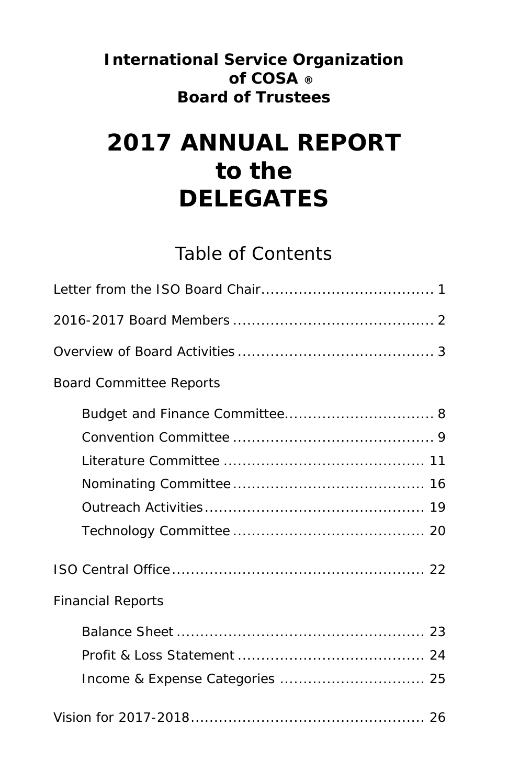### **International Service Organization of COSA ® Board of Trustees**

# **2017 ANNUAL REPORT to the DELEGATES**

## Table of Contents

| <b>Board Committee Reports</b> |
|--------------------------------|
|                                |
|                                |
|                                |
|                                |
|                                |
|                                |
|                                |
| <b>Financial Reports</b>       |
|                                |
|                                |
|                                |
|                                |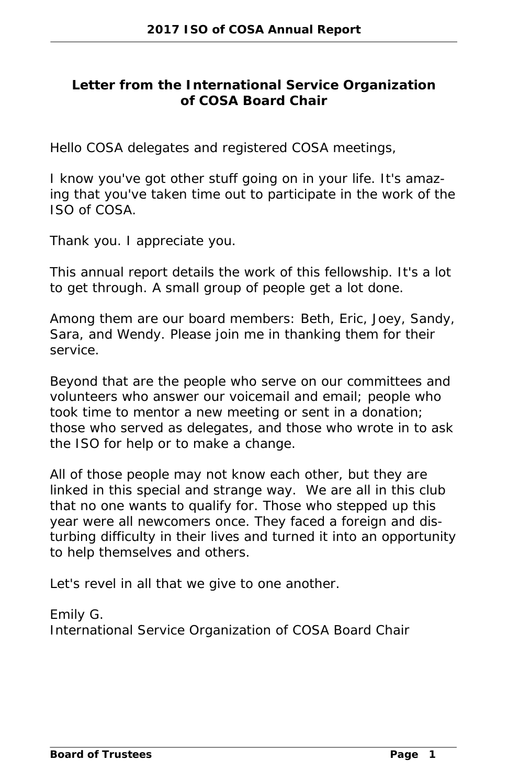#### **Letter from the International Service Organization of COSA Board Chair**

Hello COSA delegates and registered COSA meetings,

I know you've got other stuff going on in your life. It's amazing that you've taken time out to participate in the work of the ISO of COSA.

Thank you. I appreciate you.

This annual report details the work of this fellowship. It's a lot to get through. A small group of people get a lot done.

Among them are our board members: Beth, Eric, Joey, Sandy, Sara, and Wendy. Please join me in thanking them for their service.

Beyond that are the people who serve on our committees and volunteers who answer our voicemail and email; people who took time to mentor a new meeting or sent in a donation; those who served as delegates, and those who wrote in to ask the ISO for help or to make a change.

All of those people may not know each other, but they are linked in this special and strange way. We are all in this club that no one wants to qualify for. Those who stepped up this year were all newcomers once. They faced a foreign and disturbing difficulty in their lives and turned it into an opportunity to help themselves and others.

Let's revel in all that we give to one another.

Emily G. International Service Organization of COSA Board Chair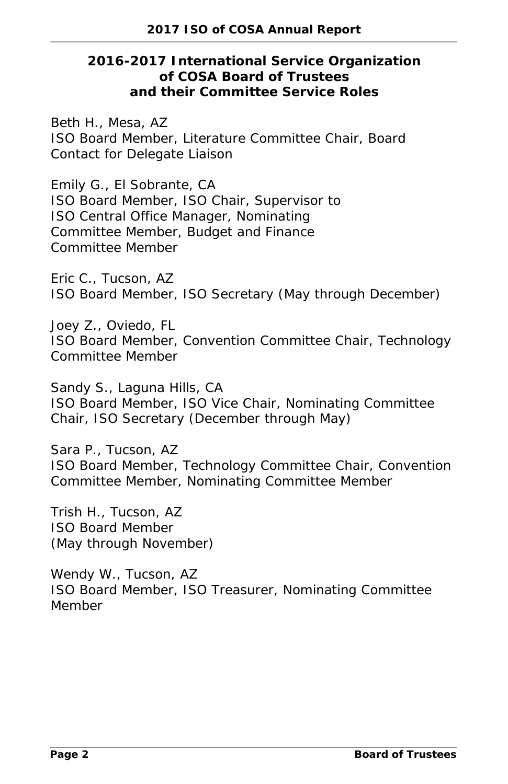**2016-2017 International Service Organization of COSA Board of Trustees and their Committee Service Roles**

Beth H., Mesa, AZ ISO Board Member, Literature Committee Chair, Board Contact for Delegate Liaison

Emily G., El Sobrante, CA ISO Board Member, ISO Chair, Supervisor to ISO Central Office Manager, Nominating Committee Member, Budget and Finance Committee Member

Eric C., Tucson, AZ ISO Board Member, ISO Secretary (May through December)

Joey Z., Oviedo, FL ISO Board Member, Convention Committee Chair, Technology Committee Member

Sandy S., Laguna Hills, CA ISO Board Member, ISO Vice Chair, Nominating Committee Chair, ISO Secretary (December through May)

Sara P., Tucson, AZ ISO Board Member, Technology Committee Chair, Convention Committee Member, Nominating Committee Member

Trish H., Tucson, AZ ISO Board Member (May through November)

Wendy W., Tucson, AZ ISO Board Member, ISO Treasurer, Nominating Committee Member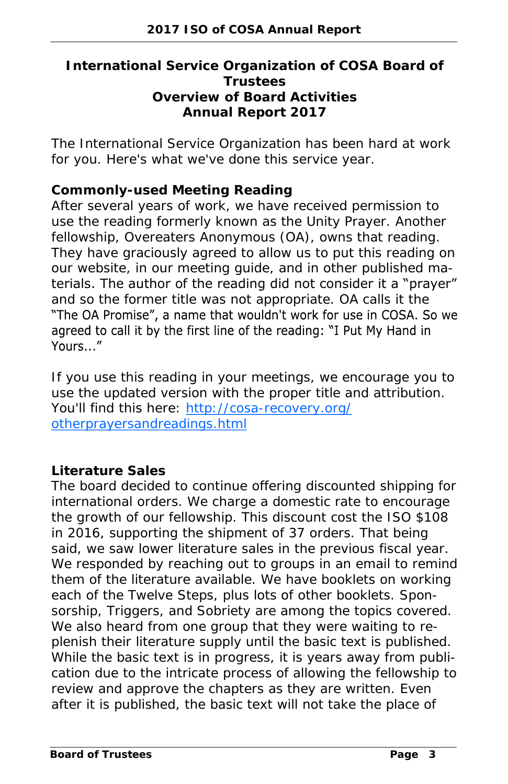#### **International Service Organization of COSA Board of Trustees Overview of Board Activities Annual Report 2017**

The International Service Organization has been hard at work for you. Here's what we've done this service year.

#### **Commonly-used Meeting Reading**

After several years of work, we have received permission to use the reading formerly known as the Unity Prayer. Another fellowship, Overeaters Anonymous (OA), owns that reading. They have graciously agreed to allow us to put this reading on our website, in our meeting guide, and in other published materials. The author of the reading did not consider it a "prayer" and so the former title was not appropriate. OA calls it the The OA Promise", a name that wouldn't work for use in COSA. So we agreed to call it by the first line of the reading: "I Put My Hand in Yours..."

If you use this reading in your meetings, we encourage you to use the updated version with the proper title and attribution. You'll find this here: [http://cosa-recovery.org/](http://cosa-recovery.org/otherprayersandreadings.html) [otherprayersandreadings.html](http://cosa-recovery.org/otherprayersandreadings.html)

#### **Literature Sales**

The board decided to continue offering discounted shipping for international orders. We charge a domestic rate to encourage the growth of our fellowship. This discount cost the ISO \$108 in 2016, supporting the shipment of 37 orders. That being said, we saw lower literature sales in the previous fiscal year. We responded by reaching out to groups in an email to remind them of the literature available. We have booklets on working each of the Twelve Steps, plus lots of other booklets. Sponsorship, Triggers, and Sobriety are among the topics covered. We also heard from one group that they were waiting to replenish their literature supply until the basic text is published. While the basic text is in progress, it is years away from publication due to the intricate process of allowing the fellowship to review and approve the chapters as they are written. Even after it is published, the basic text will not take the place of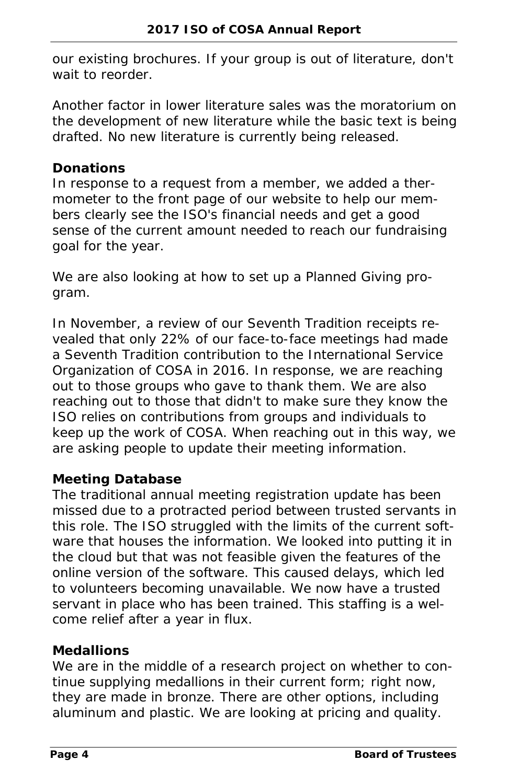our existing brochures. If your group is out of literature, don't wait to reorder

Another factor in lower literature sales was the moratorium on the development of new literature while the basic text is being drafted. No new literature is currently being released.

#### **Donations**

In response to a request from a member, we added a thermometer to the front page of our website to help our members clearly see the ISO's financial needs and get a good sense of the current amount needed to reach our fundraising goal for the year.

We are also looking at how to set up a Planned Giving program.

In November, a review of our Seventh Tradition receipts revealed that only 22% of our face-to-face meetings had made a Seventh Tradition contribution to the International Service Organization of COSA in 2016. In response, we are reaching out to those groups who gave to thank them. We are also reaching out to those that didn't to make sure they know the ISO relies on contributions from groups and individuals to keep up the work of COSA. When reaching out in this way, we are asking people to update their meeting information.

#### **Meeting Database**

The traditional annual meeting registration update has been missed due to a protracted period between trusted servants in this role. The ISO struggled with the limits of the current software that houses the information. We looked into putting it in the cloud but that was not feasible given the features of the online version of the software. This caused delays, which led to volunteers becoming unavailable. We now have a trusted servant in place who has been trained. This staffing is a welcome relief after a year in flux.

#### **Medallions**

We are in the middle of a research project on whether to continue supplying medallions in their current form; right now, they are made in bronze. There are other options, including aluminum and plastic. We are looking at pricing and quality.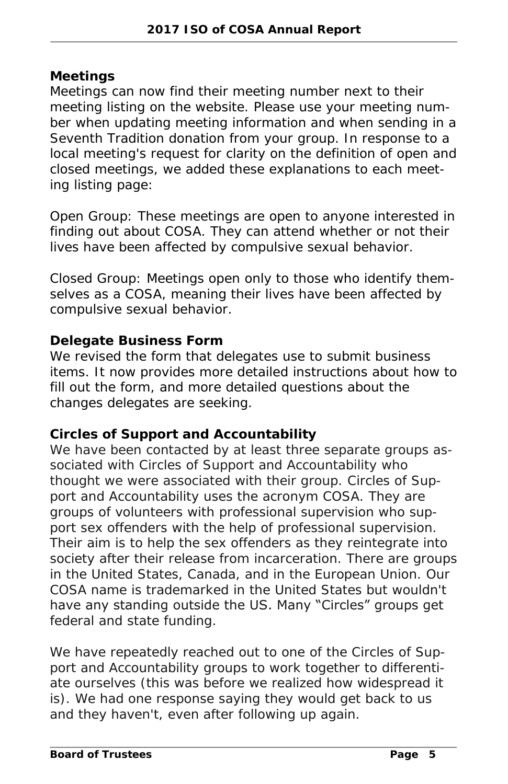#### **Meetings**

Meetings can now find their meeting number next to their meeting listing on the website. Please use your meeting number when updating meeting information and when sending in a Seventh Tradition donation from your group. In response to a local meeting's request for clarity on the definition of open and closed meetings, we added these explanations to each meeting listing page:

*Open Group: These meetings are open to anyone interested in finding out about COSA. They can attend whether or not their lives have been affected by compulsive sexual behavior.*

*Closed Group: Meetings open only to those who identify themselves as a COSA, meaning their lives have been affected by compulsive sexual behavior.*

#### **Delegate Business Form**

We revised the form that delegates use to submit business items. It now provides more detailed instructions about how to fill out the form, and more detailed questions about the changes delegates are seeking.

#### **Circles of Support and Accountability**

We have been contacted by at least three separate groups associated with Circles of Support and Accountability who thought we were associated with their group. Circles of Support and Accountability uses the acronym COSA. They are groups of volunteers with professional supervision who support sex offenders with the help of professional supervision. Their aim is to help the sex offenders as they reintegrate into society after their release from incarceration. There are groups in the United States, Canada, and in the European Union. Our COSA name is trademarked in the United States but wouldn't have any standing outside the US. Many "Circles" groups get federal and state funding.

We have repeatedly reached out to one of the Circles of Support and Accountability groups to work together to differentiate ourselves (this was before we realized how widespread it is). We had one response saying they would get back to us and they haven't, even after following up again.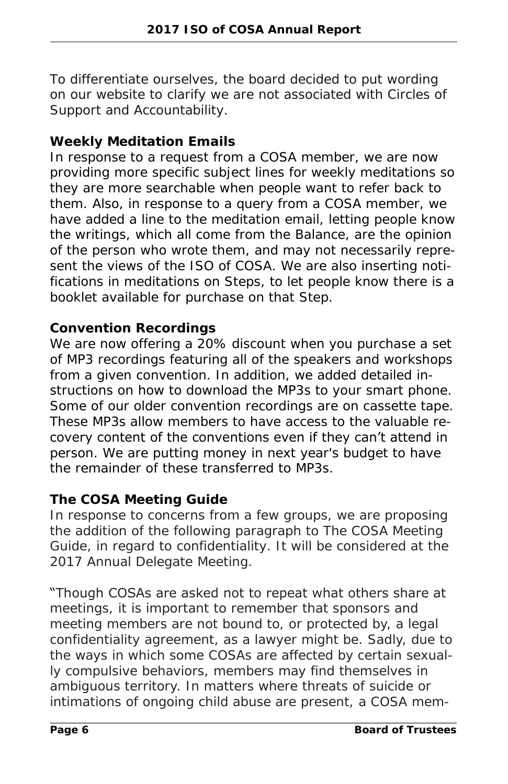To differentiate ourselves, the board decided to put wording on our website to clarify we are not associated with Circles of Support and Accountability.

#### **Weekly Meditation Emails**

In response to a request from a COSA member, we are now providing more specific subject lines for weekly meditations so they are more searchable when people want to refer back to them. Also, in response to a query from a COSA member, we have added a line to the meditation email, letting people know the writings, which all come from the *Balance*, are the opinion of the person who wrote them, and may not necessarily represent the views of the ISO of COSA. We are also inserting notifications in meditations on Steps, to let people know there is a booklet available for purchase on that Step.

#### **Convention Recordings**

We are now offering a 20% discount when you purchase a set of MP3 recordings featuring all of the speakers and workshops from a given convention. In addition, we added detailed instructions on how to download the MP3s to your smart phone. Some of our older convention recordings are on cassette tape. These MP3s allow members to have access to the valuable recovery content of the conventions even if they can't attend in person. We are putting money in next year's budget to have the remainder of these transferred to MP3s.

#### **The COSA Meeting Guide**

In response to concerns from a few groups, we are proposing the addition of the following paragraph to *The COSA Meeting Guide*, in regard to confidentiality. It will be considered at the 2017 Annual Delegate Meeting.

#### "Though COSAs are asked not to repeat what others share at

meetings, it is important to remember that sponsors and meeting members are not bound to, or protected by, a legal confidentiality agreement, as a lawyer might be. Sadly, due to the ways in which some COSAs are affected by certain sexually compulsive behaviors, members may find themselves in ambiguous territory. In matters where threats of suicide or intimations of ongoing child abuse are present, a COSA mem-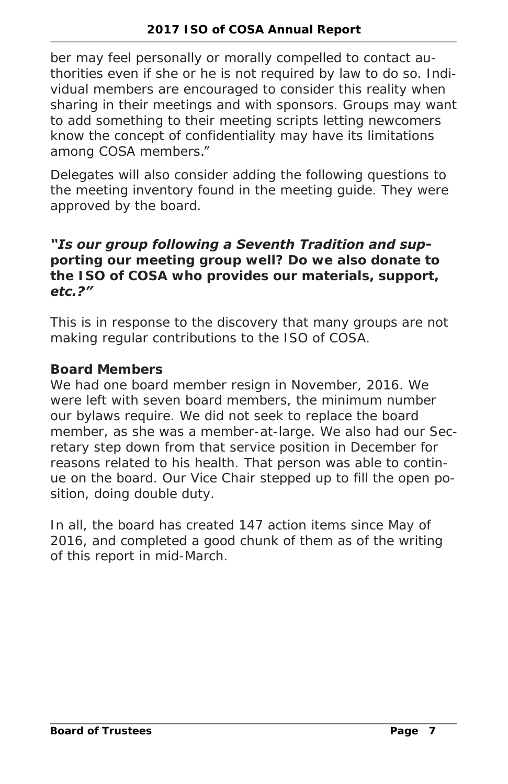ber may feel personally or morally compelled to contact authorities even if she or he is not required by law to do so. Individual members are encouraged to consider this reality when sharing in their meetings and with sponsors. Groups may want to add something to their meeting scripts letting newcomers know the concept of confidentiality may have its limitations among COSA members."

Delegates will also consider adding the following questions to the meeting inventory found in the meeting guide. They were approved by the board.

#### *"Is our group following a Seventh Tradition and sup-*

*porting our meeting group well? Do we also donate to the ISO of COSA who provides our materials, support, etc.?"*

This is in response to the discovery that many groups are not making regular contributions to the ISO of COSA.

#### **Board Members**

We had one board member resign in November, 2016. We were left with seven board members, the minimum number our bylaws require. We did not seek to replace the board member, as she was a member-at-large. We also had our Secretary step down from that service position in December for reasons related to his health. That person was able to continue on the board. Our Vice Chair stepped up to fill the open position, doing double duty.

In all, the board has created 147 action items since May of 2016, and completed a good chunk of them as of the writing of this report in mid-March.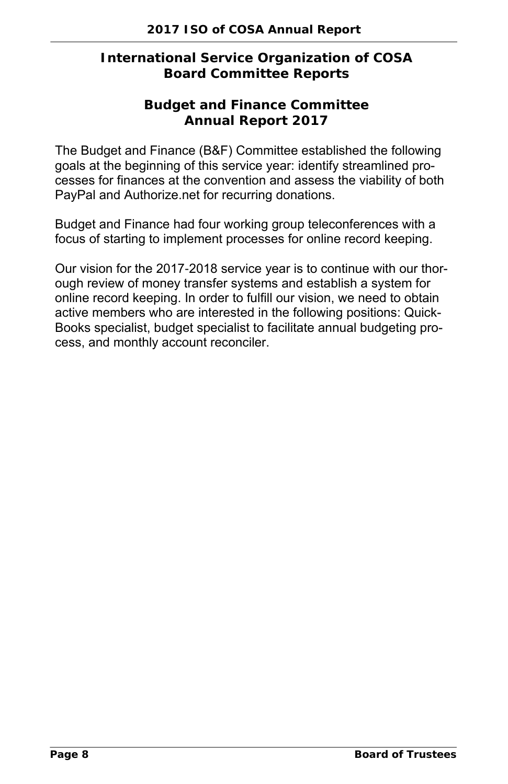#### **International Service Organization of COSA Board Committee Reports**

**Budget and Finance Committee Annual Report 2017**

The Budget and Finance (B&F) Committee established the following goals at the beginning of this service year: identify streamlined processes for finances at the convention and assess the viability of both PayPal and Authorize.net for recurring donations.

Budget and Finance had four working group teleconferences with a focus of starting to implement processes for online record keeping.

Our vision for the 2017-2018 service year is to continue with our thorough review of money transfer systems and establish a system for online record keeping. In order to fulfill our vision, we need to obtain active members who are interested in the following positions: Quick-Books specialist, budget specialist to facilitate annual budgeting process, and monthly account reconciler.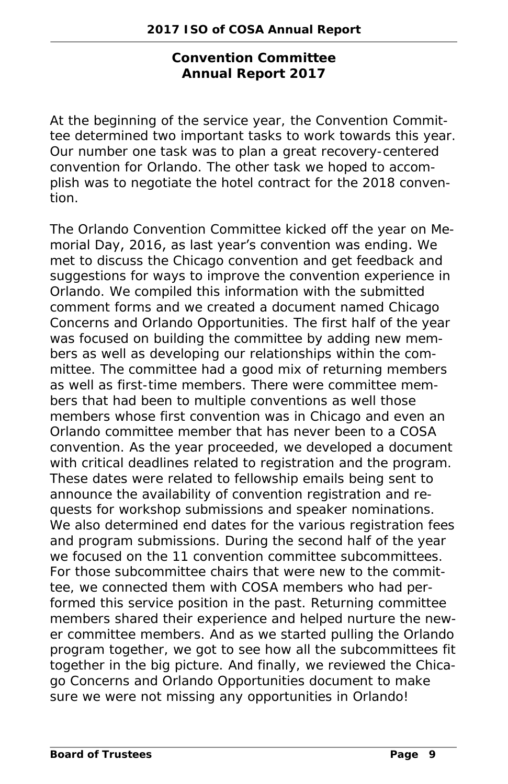**Convention Committee Annual Report 2017**

At the beginning of the service year, the Convention Committee determined two important tasks to work towards this year. Our number one task was to plan a great recovery-centered convention for Orlando. The other task we hoped to accomplish was to negotiate the hotel contract for the 2018 convention.

The Orlando Convention Committee kicked off the year on Memorial Day, 2016, as last year's convention was ending. We met to discuss the Chicago convention and get feedback and suggestions for ways to improve the convention experience in Orlando. We compiled this information with the submitted comment forms and we created a document named *Chicago Concerns and Orlando Opportunities*. The first half of the year was focused on building the committee by adding new members as well as developing our relationships within the committee. The committee had a good mix of returning members as well as first-time members. There were committee members that had been to multiple conventions as well those members whose first convention was in Chicago and even an Orlando committee member that has never been to a COSA convention. As the year proceeded, we developed a document with critical deadlines related to registration and the program. These dates were related to fellowship emails being sent to announce the availability of convention registration and requests for workshop submissions and speaker nominations. We also determined end dates for the various registration fees and program submissions. During the second half of the year we focused on the 11 convention committee subcommittees. For those subcommittee chairs that were new to the committee, we connected them with COSA members who had performed this service position in the past. Returning committee members shared their experience and helped nurture the newer committee members. And as we started pulling the Orlando program together, we got to see how all the subcommittees fit together in the big picture. And finally, we reviewed the *Chicago Concerns and Orlando Opportunities* document to make sure we were not missing any opportunities in Orlando!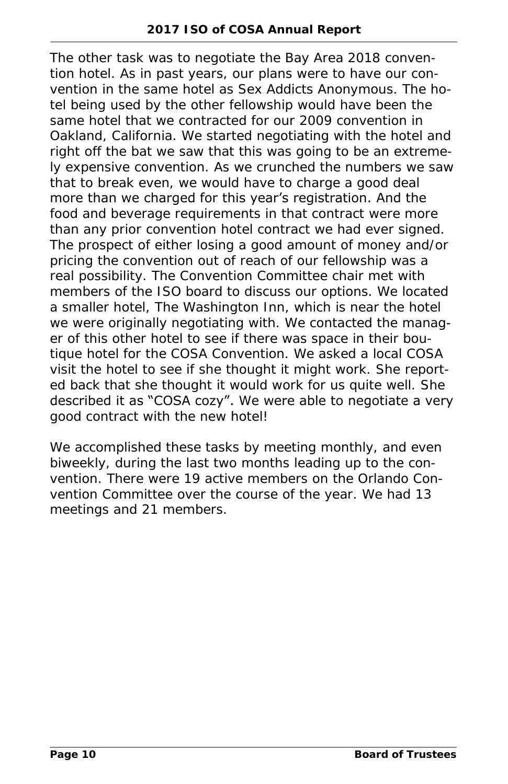The other task was to negotiate the Bay Area 2018 convention hotel. As in past years, our plans were to have our convention in the same hotel as Sex Addicts Anonymous. The hotel being used by the other fellowship would have been the same hotel that we contracted for our 2009 convention in Oakland, California. We started negotiating with the hotel and right off the bat we saw that this was going to be an extremely expensive convention. As we crunched the numbers we saw that to break even, we would have to charge a good deal more than we charged for this year's registration. And the food and beverage requirements in that contract were more than any prior convention hotel contract we had ever signed. The prospect of either losing a good amount of money and/or pricing the convention out of reach of our fellowship was a real possibility. The Convention Committee chair met with members of the ISO board to discuss our options. We located a smaller hotel, The Washington Inn, which is near the hotel we were originally negotiating with. We contacted the manager of this other hotel to see if there was space in their boutique hotel for the COSA Convention. We asked a local COSA visit the hotel to see if she thought it might work. She reported back that she thought it would work for us quite well. She described it as "COSA cozy". We were able to negotiate a very good contract with the new hotel!

We accomplished these tasks by meeting monthly, and even biweekly, during the last two months leading up to the convention. There were 19 active members on the Orlando Convention Committee over the course of the year. We had 13 meetings and 21 members.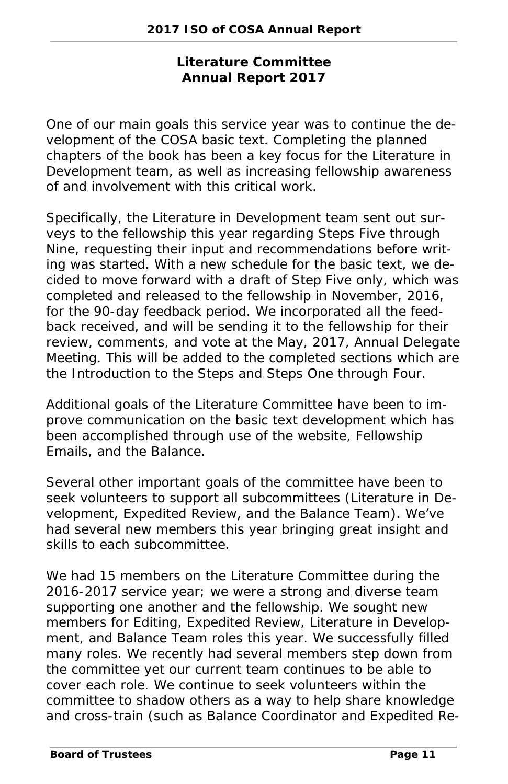#### **Literature Committee Annual Report 2017**

One of our main goals this service year was to continue the development of the COSA basic text. Completing the planned chapters of the book has been a key focus for the Literature in Development team, as well as increasing fellowship awareness of and involvement with this critical work.

Specifically, the Literature in Development team sent out surveys to the fellowship this year regarding Steps Five through Nine, requesting their input and recommendations before writing was started. With a new schedule for the basic text, we decided to move forward with a draft of Step Five only, which was completed and released to the fellowship in November, 2016, for the 90-day feedback period. We incorporated all the feedback received, and will be sending it to the fellowship for their review, comments, and vote at the May, 2017, Annual Delegate Meeting. This will be added to the completed sections which are the Introduction to the Steps and Steps One through Four.

Additional goals of the Literature Committee have been to improve communication on the basic text development which has been accomplished through use of the website, Fellowship Emails, and the *Balance*.

Several other important goals of the committee have been to seek volunteers to support all subcommittees (Literature in Development, Expedited Review, and the Balance Team). We've had several new members this year bringing great insight and skills to each subcommittee.

We had 15 members on the Literature Committee during the 2016-2017 service year; we were a strong and diverse team supporting one another and the fellowship. We sought new members for Editing, Expedited Review, Literature in Development, and Balance Team roles this year. We successfully filled many roles. We recently had several members step down from the committee yet our current team continues to be able to cover each role. We continue to seek volunteers within the committee to shadow others as a way to help share knowledge and cross-train (such as Balance Coordinator and Expedited Re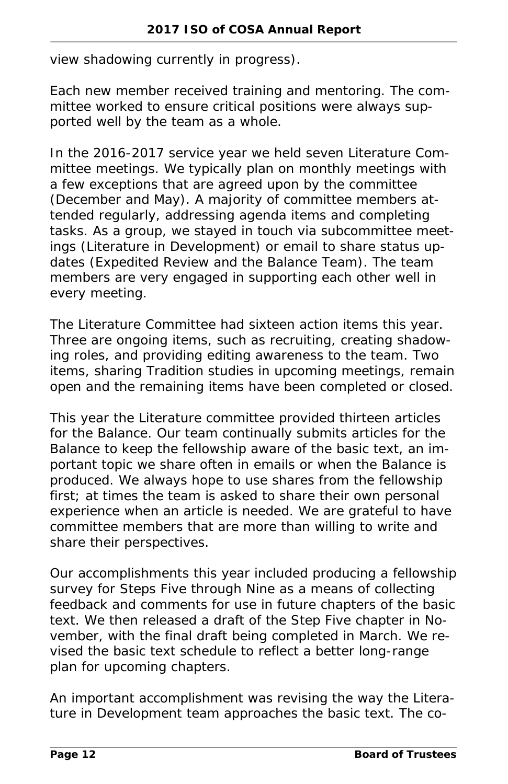view shadowing currently in progress).

Each new member received training and mentoring. The committee worked to ensure critical positions were always supported well by the team as a whole.

In the 2016-2017 service year we held seven Literature Committee meetings. We typically plan on monthly meetings with a few exceptions that are agreed upon by the committee (December and May). A majority of committee members attended regularly, addressing agenda items and completing tasks. As a group, we stayed in touch via subcommittee meetings (Literature in Development) or email to share status updates (Expedited Review and the Balance Team). The team members are very engaged in supporting each other well in every meeting.

The Literature Committee had sixteen action items this year. Three are ongoing items, such as recruiting, creating shadowing roles, and providing editing awareness to the team. Two items, sharing Tradition studies in upcoming meetings, remain open and the remaining items have been completed or closed.

This year the Literature committee provided thirteen articles for the *Balance*. Our team continually submits articles for the *Balance* to keep the fellowship aware of the basic text, an important topic we share often in emails or when the *Balance* is produced. We always hope to use shares from the fellowship first; at times the team is asked to share their own personal experience when an article is needed. We are grateful to have committee members that are more than willing to write and share their perspectives.

Our accomplishments this year included producing a fellowship survey for Steps Five through Nine as a means of collecting feedback and comments for use in future chapters of the basic text. We then released a draft of the Step Five chapter in November, with the final draft being completed in March. We revised the basic text schedule to reflect a better long-range plan for upcoming chapters.

An important accomplishment was revising the way the Literature in Development team approaches the basic text. The co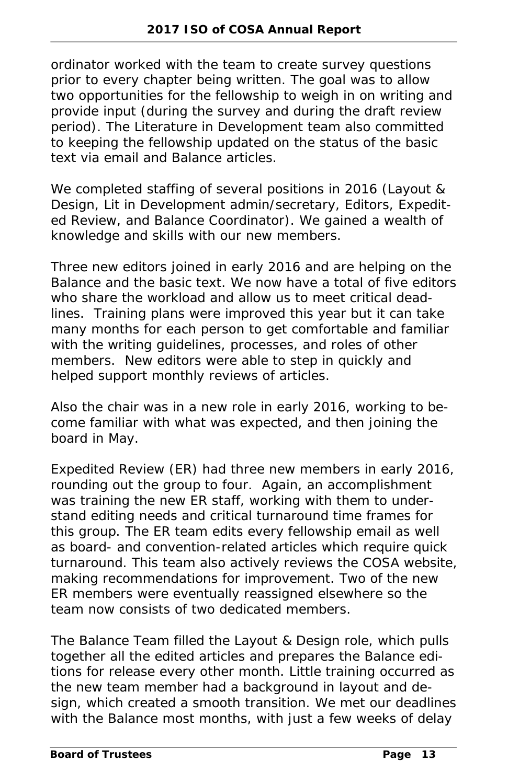ordinator worked with the team to create survey questions prior to every chapter being written. The goal was to allow two opportunities for the fellowship to weigh in on writing and provide input (during the survey and during the draft review period). The Literature in Development team also committed to keeping the fellowship updated on the status of the basic text via email and *Balance* articles.

We completed staffing of several positions in 2016 (Layout & Design, Lit in Development admin/secretary, Editors, Expedited Review, and Balance Coordinator). We gained a wealth of knowledge and skills with our new members.

Three new editors joined in early 2016 and are helping on the *Balance* and the basic text. We now have a total of five editors who share the workload and allow us to meet critical deadlines. Training plans were improved this year but it can take many months for each person to get comfortable and familiar with the writing guidelines, processes, and roles of other members. New editors were able to step in quickly and helped support monthly reviews of articles.

Also the chair was in a new role in early 2016, working to become familiar with what was expected, and then joining the board in May.

Expedited Review (ER) had three new members in early 2016, rounding out the group to four. Again, an accomplishment was training the new ER staff, working with them to understand editing needs and critical turnaround time frames for this group. The ER team edits every fellowship email as well as board- and convention-related articles which require quick turnaround. This team also actively reviews the COSA website, making recommendations for improvement. Two of the new ER members were eventually reassigned elsewhere so the team now consists of two dedicated members.

The Balance Team filled the Layout & Design role, which pulls together all the edited articles and prepares the *Balance* editions for release every other month. Little training occurred as the new team member had a background in layout and design, which created a smooth transition. We met our deadlines with the *Balance* most months, with just a few weeks of delay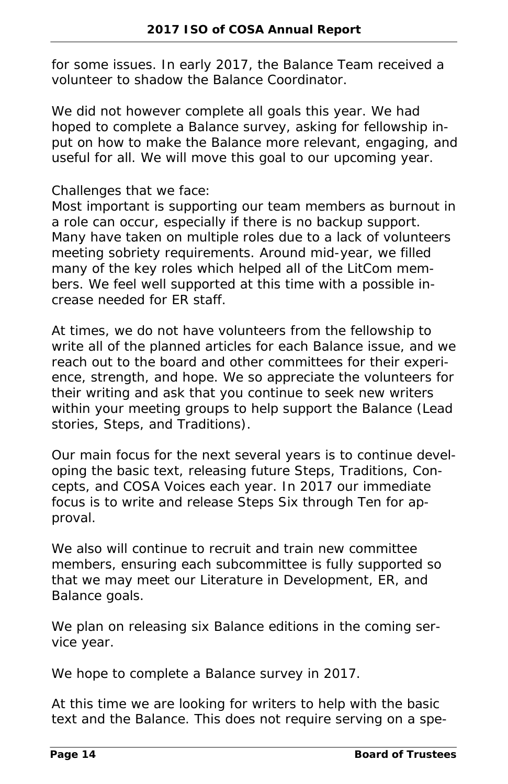for some issues. In early 2017, the Balance Team received a volunteer to shadow the Balance Coordinator.

We did not however complete all goals this year. We had hoped to complete a *Balance* survey, asking for fellowship input on how to make the *Balance* more relevant, engaging, and useful for all. We will move this goal to our upcoming year.

#### Challenges that we face:

Most important is supporting our team members as burnout in a role can occur, especially if there is no backup support. Many have taken on multiple roles due to a lack of volunteers meeting sobriety requirements. Around mid-year, we filled many of the key roles which helped all of the LitCom members. We feel well supported at this time with a possible increase needed for ER staff.

At times, we do not have volunteers from the fellowship to write all of the planned articles for each *Balance* issue, and we reach out to the board and other committees for their experience, strength, and hope. We so appreciate the volunteers for their writing and ask that you continue to seek new writers within your meeting groups to help support the *Balance* (Lead stories, Steps, and Traditions).

Our main focus for the next several years is to continue developing the basic text, releasing future Steps, Traditions, Concepts, and COSA Voices each year. In 2017 our immediate focus is to write and release Steps Six through Ten for approval.

We also will continue to recruit and train new committee members, ensuring each subcommittee is fully supported so that we may meet our Literature in Development, ER, and *Balance* goals.

We plan on releasing six *Balance* editions in the coming service year.

We hope to complete a *Balance* survey in 2017.

At this time we are looking for writers to help with the basic text and the *Balance*. This does not require serving on a spe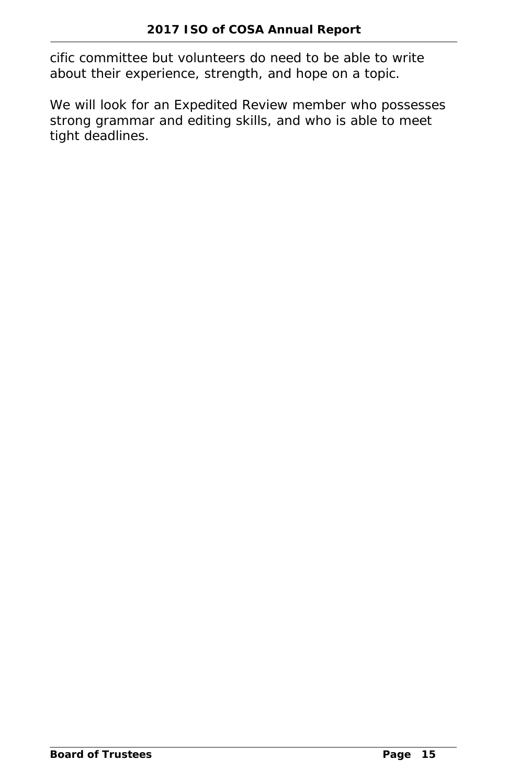cific committee but volunteers do need to be able to write about their experience, strength, and hope on a topic.

We will look for an Expedited Review member who possesses strong grammar and editing skills, and who is able to meet tight deadlines.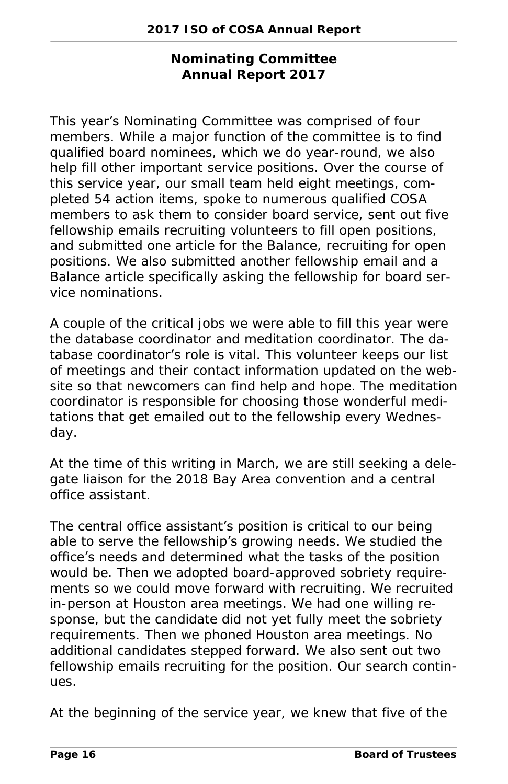**Nominating Committee Annual Report 2017**

#### This year's Nominating Committee was comprised of four

members. While a major function of the committee is to find qualified board nominees, which we do year-round, we also help fill other important service positions. Over the course of this service year, our small team held eight meetings, completed 54 action items, spoke to numerous qualified COSA members to ask them to consider board service, sent out five fellowship emails recruiting volunteers to fill open positions, and submitted one article for the *Balance*, recruiting for open positions. We also submitted another fellowship email and a *Balance* article specifically asking the fellowship for board service nominations.

A couple of the critical jobs we were able to fill this year were the database coordinator and meditation coordinator. The database coordinator's role is vital. This volunteer keeps our list of meetings and their contact information updated on the website so that newcomers can find help and hope. The meditation coordinator is responsible for choosing those wonderful meditations that get emailed out to the fellowship every Wednesday.

At the time of this writing in March, we are still seeking a delegate liaison for the 2018 Bay Area convention and a central office assistant.

The central office assistant's position is critical to our being able to serve the fellowship's growing needs. We studied the office's needs and determined what the tasks of the position would be. Then we adopted board-approved sobriety requirements so we could move forward with recruiting. We recruited in-person at Houston area meetings. We had one willing response, but the candidate did not yet fully meet the sobriety requirements. Then we phoned Houston area meetings. No additional candidates stepped forward. We also sent out two fellowship emails recruiting for the position. Our search continues.

At the beginning of the service year, we knew that five of the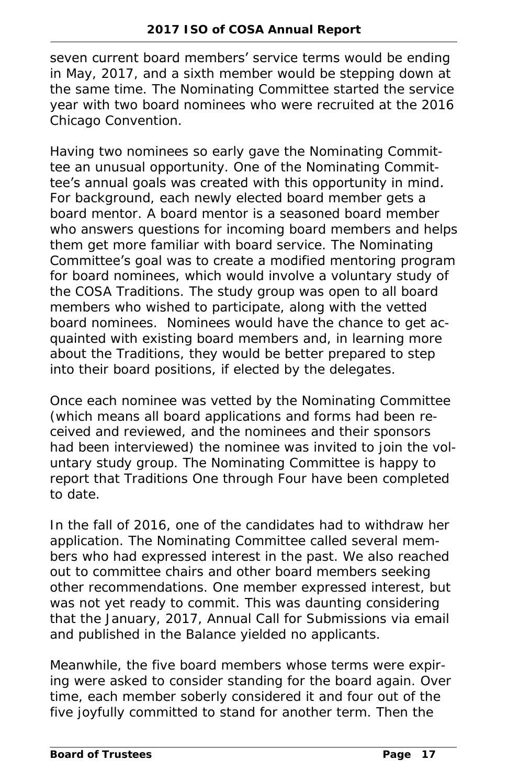seven current board members' service terms would be ending in May, 2017, and a sixth member would be stepping down at the same time. The Nominating Committee started the service year with two board nominees who were recruited at the 2016 Chicago Convention.

Having two nominees so early gave the Nominating Committee an unusual opportunity. One of the Nominating Committee's annual goals was created with this opportunity in mind. For background, each newly elected board member gets a board mentor. A board mentor is a seasoned board member who answers questions for incoming board members and helps them get more familiar with board service. The Nominating Committee's goal was to create a modified mentoring program for board nominees, which would involve a voluntary study of the COSA Traditions. The study group was open to all board members who wished to participate, along with the vetted board nominees. Nominees would have the chance to get acquainted with existing board members and, in learning more about the Traditions, they would be better prepared to step into their board positions, if elected by the delegates.

Once each nominee was vetted by the Nominating Committee (which means all board applications and forms had been received and reviewed, and the nominees and their sponsors had been interviewed) the nominee was invited to join the voluntary study group. The Nominating Committee is happy to report that Traditions One through Four have been completed to date.

In the fall of 2016, one of the candidates had to withdraw her application. The Nominating Committee called several members who had expressed interest in the past. We also reached out to committee chairs and other board members seeking other recommendations. One member expressed interest, but was not yet ready to commit. This was daunting considering that the January, 2017, Annual Call for Submissions via email and published in the *Balance* yielded no applicants.

Meanwhile, the five board members whose terms were expiring were asked to consider standing for the board again. Over time, each member soberly considered it and four out of the five joyfully committed to stand for another term. Then the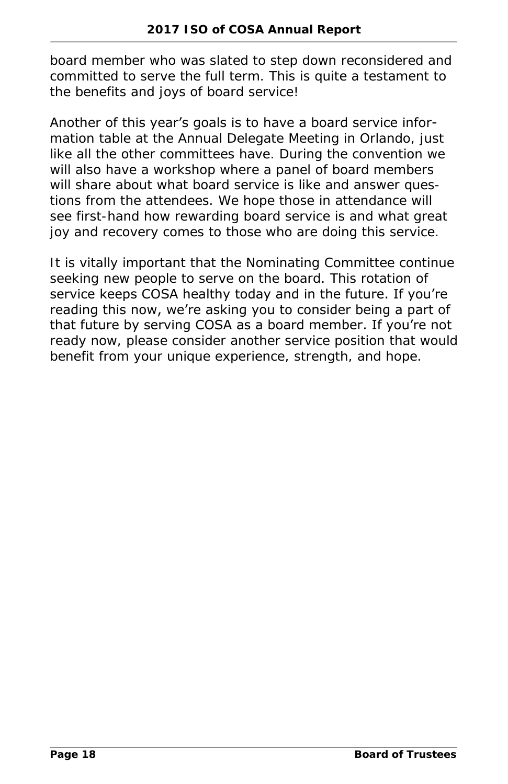board member who was slated to step down reconsidered and committed to serve the full term. This is quite a testament to the benefits and joys of board service!

#### Another of this year's goals is to have a board service infor-

mation table at the Annual Delegate Meeting in Orlando, just like all the other committees have. During the convention we will also have a workshop where a panel of board members will share about what board service is like and answer questions from the attendees. We hope those in attendance will see first-hand how rewarding board service is and what great joy and recovery comes to those who are doing this service.

It is vitally important that the Nominating Committee continue seeking new people to serve on the board. This rotation of service keeps COSA healthy today and in the future. If you're reading this now, we're asking you to consider being a part of that future by serving COSA as a board member. If you're not ready now, please consider another service position that would benefit from your unique experience, strength, and hope.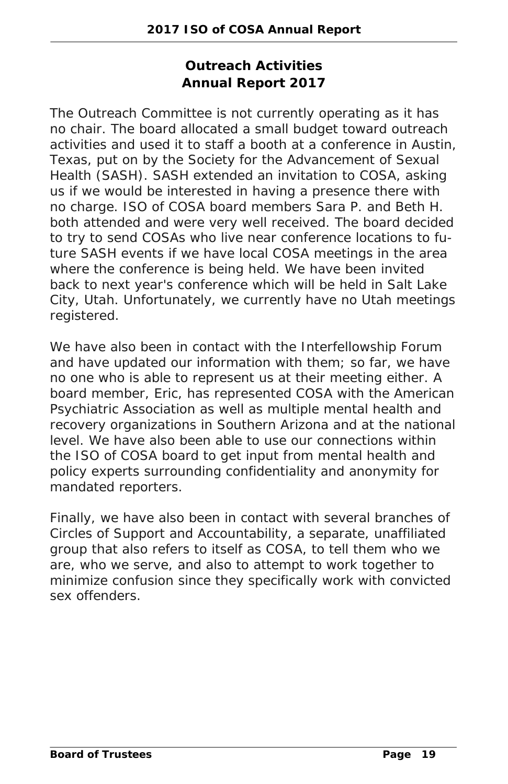#### **Outreach Activities Annual Report 2017**

The Outreach Committee is not currently operating as it has no chair. The board allocated a small budget toward outreach activities and used it to staff a booth at a conference in Austin, Texas, put on by the Society for the Advancement of Sexual Health (SASH). SASH extended an invitation to COSA, asking us if we would be interested in having a presence there with no charge. ISO of COSA board members Sara P. and Beth H. both attended and were very well received. The board decided to try to send COSAs who live near conference locations to future SASH events if we have local COSA meetings in the area where the conference is being held. We have been invited back to next year's conference which will be held in Salt Lake City, Utah. Unfortunately, we currently have no Utah meetings registered.

We have also been in contact with the Interfellowship Forum and have updated our information with them; so far, we have no one who is able to represent us at their meeting either. A board member, Eric, has represented COSA with the American Psychiatric Association as well as multiple mental health and recovery organizations in Southern Arizona and at the national level. We have also been able to use our connections within the ISO of COSA board to get input from mental health and policy experts surrounding confidentiality and anonymity for mandated reporters.

Finally, we have also been in contact with several branches of Circles of Support and Accountability, a separate, unaffiliated group that also refers to itself as COSA, to tell them who we are, who we serve, and also to attempt to work together to minimize confusion since they specifically work with convicted sex offenders.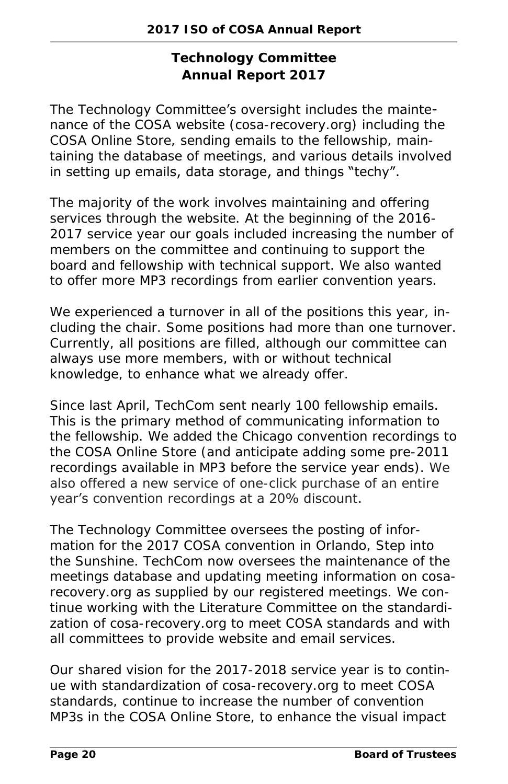**Technology Committee Annual Report 2017**

The Technology Committee's oversight includes the maintenance of the COSA website (cosa-recovery.org) including the COSA Online Store, sending emails to the fellowship, maintaining the database of meetings, and various details involved in setting up emails, data storage, and things "techy".

The majority of the work involves maintaining and offering services through the website. At the beginning of the 2016-2017 service year our goals included increasing the number of members on the committee and continuing to support the board and fellowship with technical support. We also wanted to offer more MP3 recordings from earlier convention years.

We experienced a turnover in all of the positions this year, including the chair. Some positions had more than one turnover. Currently, all positions are filled, although our committee can always use more members, with or without technical knowledge, to enhance what we already offer.

Since last April, TechCom sent nearly 100 fellowship emails. This is the primary method of communicating information to the fellowship. We added the Chicago convention recordings to the COSA Online Store (and anticipate adding some pre-2011 recordings available in MP3 before the service year ends). We also offered a new service of one-click purchase of an entire year's convention recordings at a 20% discount.

The Technology Committee oversees the posting of information for the 2017 COSA convention in Orlando, *Step into the Sunshine*. TechCom now oversees the maintenance of the meetings database and updating meeting information on cosarecovery.org as supplied by our registered meetings. We continue working with the Literature Committee on the standardization of cosa-recovery.org to meet COSA standards and with all committees to provide website and email services.

Our shared vision for the 2017-2018 service year is to continue with standardization of cosa-recovery.org to meet COSA standards, continue to increase the number of convention MP3s in the COSA Online Store, to enhance the visual impact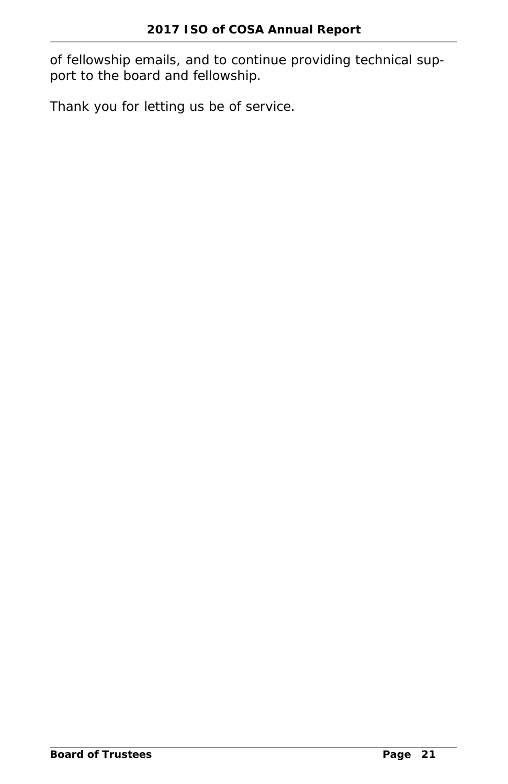of fellowship emails, and to continue providing technical support to the board and fellowship.

Thank you for letting us be of service.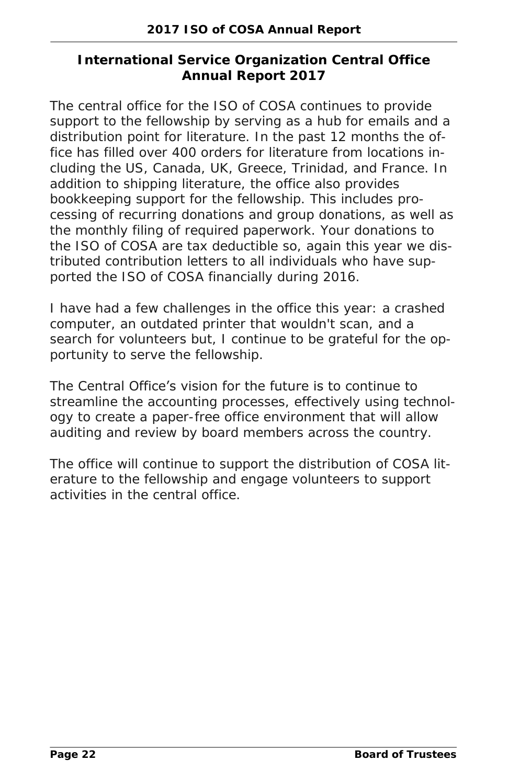#### **International Service Organization Central Office Annual Report 2017**

The central office for the ISO of COSA continues to provide support to the fellowship by serving as a hub for emails and a distribution point for literature. In the past 12 months the office has filled over 400 orders for literature from locations including the US, Canada, UK, Greece, Trinidad, and France. In addition to shipping literature, the office also provides bookkeeping support for the fellowship. This includes processing of recurring donations and group donations, as well as the monthly filing of required paperwork. Your donations to the ISO of COSA are tax deductible so, again this year we distributed contribution letters to all individuals who have supported the ISO of COSA financially during 2016.

I have had a few challenges in the office this year: a crashed computer, an outdated printer that wouldn't scan, and a search for volunteers but, I continue to be grateful for the opportunity to serve the fellowship.

The Central Office's vision for the future is to continue to streamline the accounting processes, effectively using technology to create a paper-free office environment that will allow

auditing and review by board members across the country.

The office will continue to support the distribution of COSA literature to the fellowship and engage volunteers to support activities in the central office.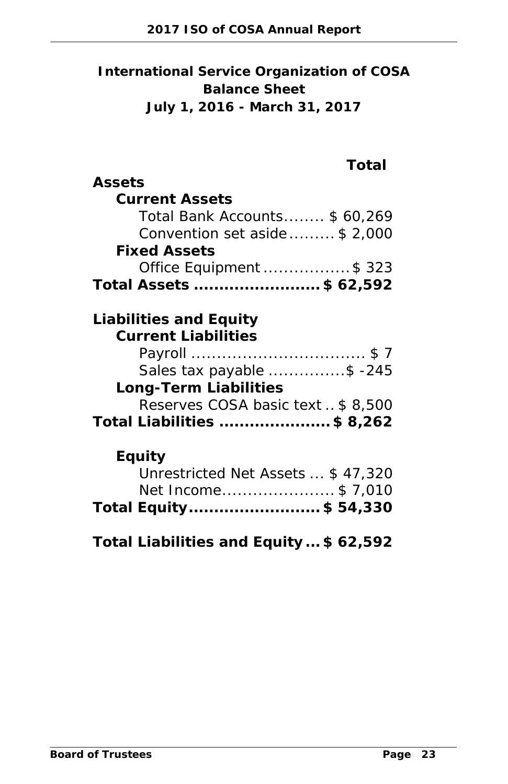**International Service Organization of COSA Balance Sheet July 1, 2016 - March 31, 2017**

| Assets                                         |
|------------------------------------------------|
| Current Assets                                 |
| Total Bank Accounts \$60,269                   |
| Convention set aside \$ 2,000                  |
| <b>Fixed Assets</b><br>Office Equipment \$ 323 |
| Total Assets \$ 62,592                         |
|                                                |
| Liabilities and Equity                         |
| <b>Current Liabilities</b>                     |
|                                                |
| Sales tax payable \$ -245                      |
| Long-Term Liabilities                          |
| Reserves COSA basic text  \$ 8,500             |
| Total Liabilities \$ 8,262                     |
| Equity                                         |
| Unrestricted Net Assets  \$47,320              |
| Net Income\$7,010                              |
| Total Equity\$ 54,330                          |
|                                                |
| Total Liabilities and Equity \$62,592          |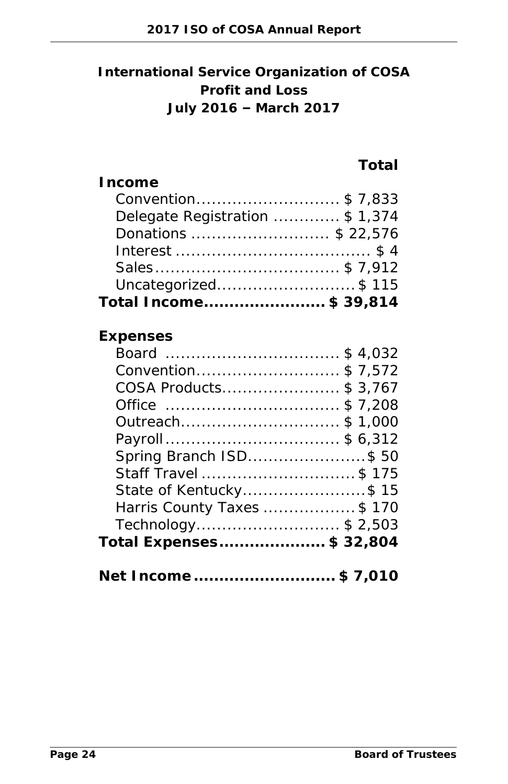**International Service Organization of COSA Profit and Loss July 2016 – March 2017**

**Total**

| Board \$ 4,032             |
|----------------------------|
| Convention\$7,572          |
| COSA Products\$ 3,767      |
| Office \$ 7,208            |
| Outreach\$1,000            |
| Payroll\$ 6,312            |
| Spring Branch ISD\$50      |
| Staff Travel \$ 175        |
| State of Kentucky\$15      |
| Harris County Taxes \$ 170 |
| Technology\$ 2,503         |
| Total Expenses\$ 32,804    |
| Net Income\$ 7,010         |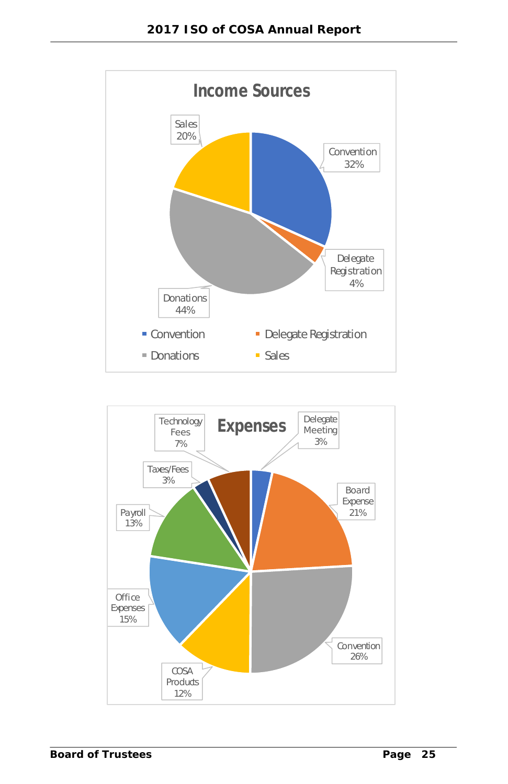